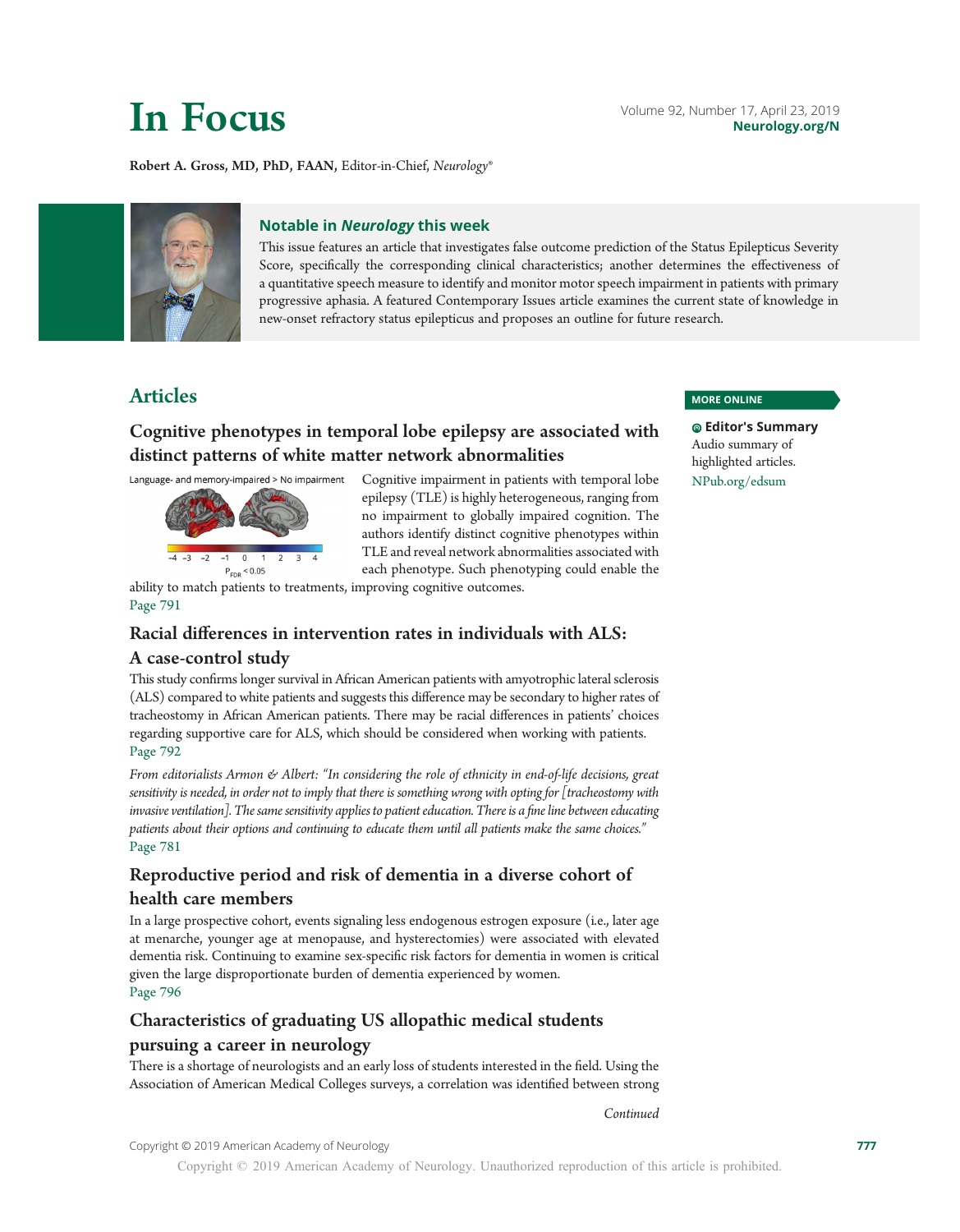Robert A. Gross, MD, PhD, FAAN, Editor-in-Chief, Neurology®



#### Notable in Neurology this week

This issue features an article that investigates false outcome prediction of the Status Epilepticus Severity Score, specifically the corresponding clinical characteristics; another determines the effectiveness of a quantitative speech measure to identify and monitor motor speech impairment in patients with primary progressive aphasia. A featured Contemporary Issues article examines the current state of knowledge in new-onset refractory status epilepticus and proposes an outline for future research.

# Articles

## Cognitive phenotypes in temporal lobe epilepsy are associated with distinct patterns of white matter network abnormalities

Language- and memory-impaired > No impairment



Cognitive impairment in patients with temporal lobe epilepsy (TLE) is highly heterogeneous, ranging from no impairment to globally impaired cognition. The authors identify distinct cognitive phenotypes within TLE and reveal network abnormalities associated with each phenotype. Such phenotyping could enable the

ability to match patients to treatments, improving cognitive outcomes. Page 791

### Racial differences in intervention rates in individuals with ALS:

### A case-control study

This study confirms longer survival in African American patients with amyotrophic lateral sclerosis (ALS) compared to white patients and suggests this difference may be secondary to higher rates of tracheostomy in African American patients. There may be racial differences in patients' choices regarding supportive care for ALS, which should be considered when working with patients. Page 792

From editorialists Armon & Albert: "In considering the role of ethnicity in end-of-life decisions, great sensitivity is needed, in order not to imply that there is something wrong with opting for [tracheostomy with invasive ventilation]. The same sensitivity applies to patient education. There is a fine line between educating patients about their options and continuing to educate them until all patients make the same choices." Page 781

# Reproductive period and risk of dementia in a diverse cohort of health care members

In a large prospective cohort, events signaling less endogenous estrogen exposure (i.e., later age at menarche, younger age at menopause, and hysterectomies) were associated with elevated dementia risk. Continuing to examine sex-specific risk factors for dementia in women is critical given the large disproportionate burden of dementia experienced by women. Page 796

# Characteristics of graduating US allopathic medical students pursuing a career in neurology

There is a shortage of neurologists and an early loss of students interested in the field. Using the Association of American Medical Colleges surveys, a correlation was identified between strong

#### MORE ONLINE

Editor's Summary Audio summary of highlighted articles. [NPub.org/edsum](http://NPub.org/edsum)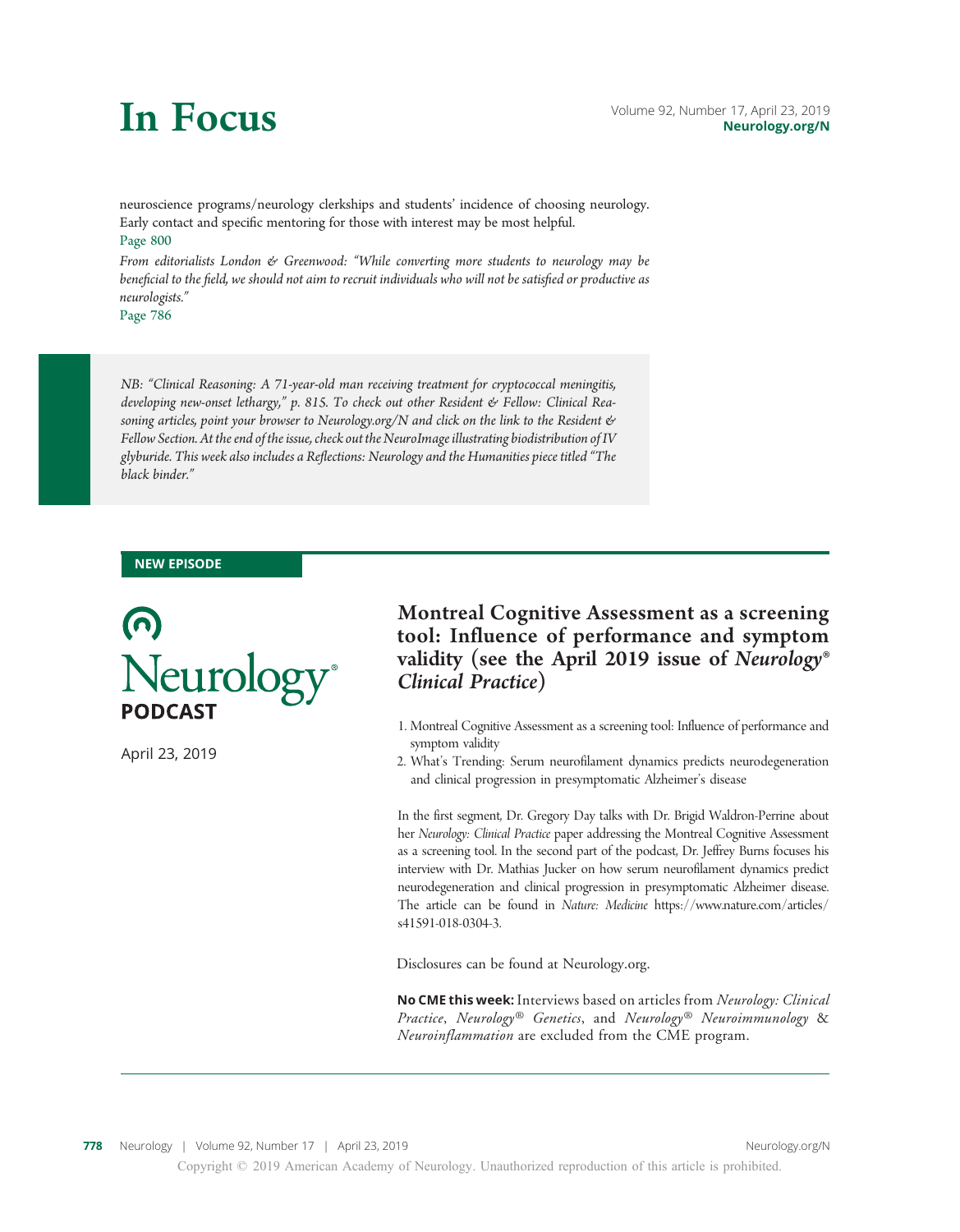neuroscience programs/neurology clerkships and students' incidence of choosing neurology. Early contact and specific mentoring for those with interest may be most helpful. Page 800

From editorialists London & Greenwood: "While converting more students to neurology may be beneficial to the field, we should not aim to recruit individuals who will not be satisfied or productive as neurologists."

Page 786

NB: "Clinical Reasoning: A 71-year-old man receiving treatment for cryptococcal meningitis, developing new-onset lethargy," p. 815. To check out other Resident & Fellow: Clinical Rea-soning articles, point your browser to [Neurology.org/N](http://neurology.org/n) and click on the link to the Resident & Fellow Section. At the end of the issue, check out the NeuroImage illustrating biodistribution of IV glyburide. This week also includes a Reflections: Neurology and the Humanities piece titled "The black binder."

#### NEW EPISODE



April 23, 2019

# Montreal Cognitive Assessment as a screening tool: Influence of performance and symptom validity (see the April 2019 issue of Neurology® Clinical Practice)

- 1. Montreal Cognitive Assessment as a screening tool: Influence of performance and symptom validity
- 2. What's Trending: Serum neurofilament dynamics predicts neurodegeneration and clinical progression in presymptomatic Alzheimer's disease

In the first segment, Dr. Gregory Day talks with Dr. Brigid Waldron-Perrine about her Neurology: Clinical Practice paper addressing the Montreal Cognitive Assessment as a screening tool. In the second part of the podcast, Dr. Jeffrey Burns focuses his interview with Dr. Mathias Jucker on how serum neurofilament dynamics predict neurodegeneration and clinical progression in presymptomatic Alzheimer disease. The article can be found in Nature: Medicine https://www.nature.com/articles/ s41591-018-0304-3.

Disclosures can be found at Neurology.org.

No CME this week: Interviews based on articles from Neurology: Clinical Practice, Neurology<sup>®</sup> Genetics, and Neurology<sup>®</sup> Neuroimmunology & Neuroinflammation are excluded from the CME program.

Copyright © 2019 American Academy of Neurology. Unauthorized reproduction of this article is prohibited.